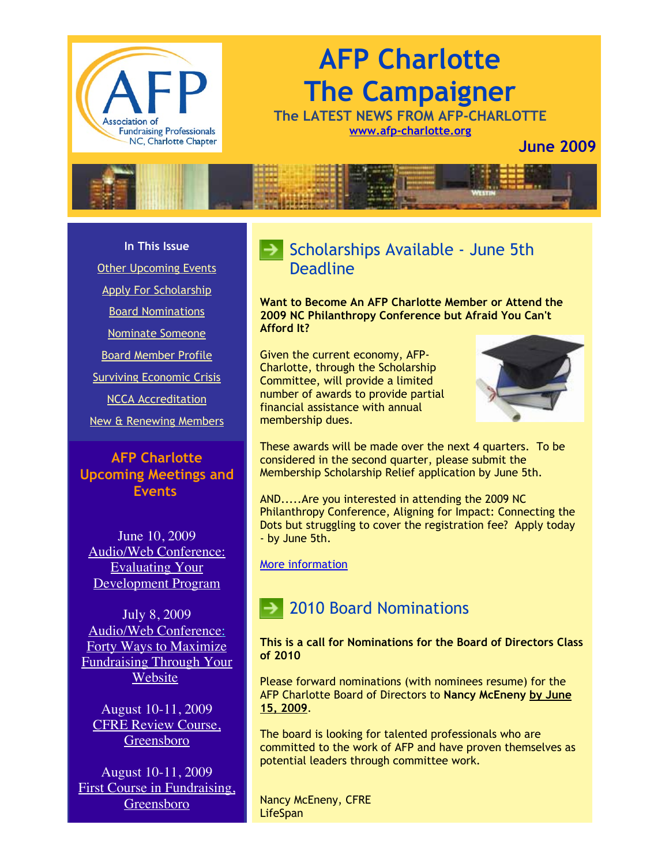

# **AFP Charlotte The Campaigner**

**The LATEST NEWS FROM AFP-CHARLOTTE [www.afp-charlotte.org](http://www.afp-charlotte.org/)**

**June 2009**



#### **In This Issue**

[Other Upcoming Events](http://archive.constantcontact.com/fs051/1101610725496/archive/1102578249998.html#LETTER.BLOCK5)

[Apply For Scholarship](http://archive.constantcontact.com/fs051/1101610725496/archive/1102578249998.html#LETTER.BLOCK10)

[Board Nominations](http://archive.constantcontact.com/fs051/1101610725496/archive/1102578249998.html#LETTER.BLOCK29)

[Nominate Someone](http://archive.constantcontact.com/fs051/1101610725496/archive/1102578249998.html#LETTER.BLOCK11)

[Board Member Profile](http://archive.constantcontact.com/fs051/1101610725496/archive/1102578249998.html#LETTER.BLOCK15)

[Surviving Economic Crisis](http://archive.constantcontact.com/fs051/1101610725496/archive/1102578249998.html#LETTER.BLOCK17)

[NCCA Accreditation](http://archive.constantcontact.com/fs051/1101610725496/archive/1102578249998.html#LETTER.BLOCK18)

[New & Renewing Members](http://archive.constantcontact.com/fs051/1101610725496/archive/1102578249998.html#LETTER.BLOCK25)

#### **AFP Charlotte Upcoming Meetings and Events**

June 10, 2009 [Audio/Web Conference:](http://www.afp-charlotte.org/rsvp_details.html?id=2221) Evaluating Your Development Program

July 8, 2009 Audio/Web Conference: Forty Ways to Maximize [Fundraising Through Your](http://www.afp-charlotte.org/rsvp_details.html?id=2222) Website

August 10-11, 2009 [CFRE Review Course,](http://www.afptriangle.org/rsvppage_details.html?id=2432) Greensboro

August 10-11, 2009 [First Course in Fundraising,](http://www.afptriangle.org/rsvppage_details.html?id=2432) Greensboro

## $\blacktriangleright$  Scholarships Available - June 5th **Deadline**

**Want to Become An AFP Charlotte Member or Attend the 2009 NC Philanthropy Conference but Afraid You Can't Afford It?**

Given the current economy, AFP-Charlotte, through the Scholarship Committee, will provide a limited number of awards to provide partial financial assistance with annual membership dues.



These awards will be made over the next 4 quarters. To be considered in the second quarter, please submit the Membership Scholarship Relief application by June 5th.

AND.....Are you interested in attending the 2009 NC Philanthropy Conference, Aligning for Impact: Connecting the Dots but struggling to cover the registration fee? Apply today - by June 5th.

[More information](http://www.afp-charlotte.org/scholarships.html)

## 2010 Board Nominations

**This is a call for Nominations for the Board of Directors Class of 2010**

Please forward nominations (with nominees resume) for the AFP Charlotte Board of Directors to **Nancy McEneny by June 15, 2009**.

The board is looking for talented professionals who are committed to the work of AFP and have proven themselves as potential leaders through committee work.

Nancy McEneny, CFRE **LifeSpan**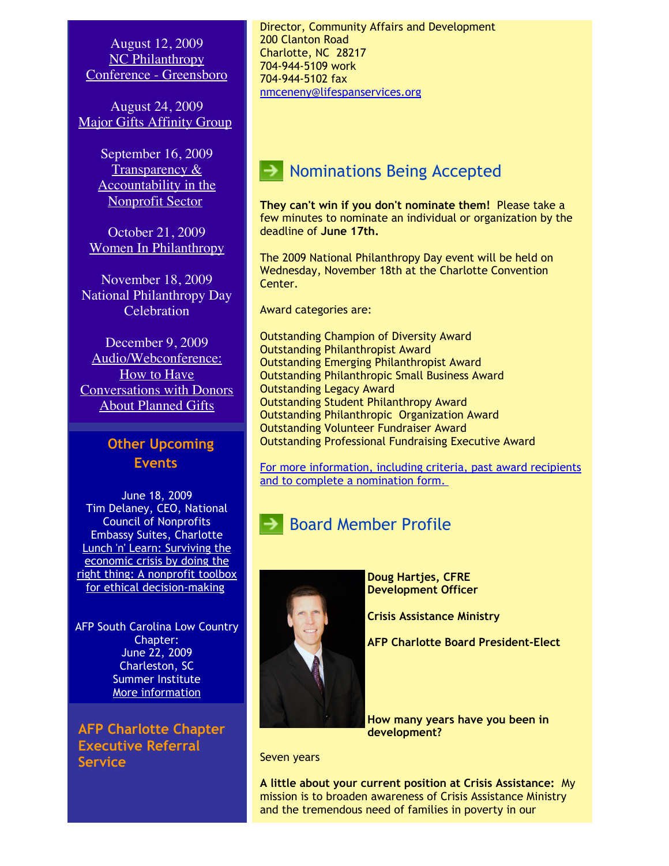August 12, 2009 NC Philanthropy [Conference - Greensboro](http://www.afptriangle.org/rsvppage_details.html?id=2432)

August 24, 2009 [Major Gifts Affinity Group](http://www.afp-charlotte.org/rsvp_details.html?id=2310)

> September 16, 2009 Transparency & [Accountability in the](http://www.afp-charlotte.org/rsvp_details.html?id=2223) Nonprofit Sector

October 21, 2009 [Women In Philanthropy](http://www.afp-charlotte.org/rsvp_details.html?id=2224)

November 18, 2009 National Philanthropy Day **Celebration** 

December 9, 2009 Audio/Webconference: How to Have [Conversations with Donors](http://www.afp-charlotte.org/rsvp_details.html?id=2225) About Planned Gifts

#### **Other Upcoming Events**

June 18, 2009 Tim Delaney, CEO, National Council of Nonprofits Embassy Suites, Charlotte Lunch 'n' Learn: Surviving the economic crisis by doing the [right thing: A nonprofit toolbox](https://www.philanthropyjournal.org/civicrm/event/info?reset=1&id=40) for ethical decision-making

AFP South Carolina Low Country Chapter: June 22, 2009 Charleston, SC Summer Institute [More information](http://www.afp-charlotte.org//customers/102012921065393/filemanager/Lowcountry_AFP_2009_Summer_Institute.doc)

**AFP Charlotte Chapter Executive Referral Service**

Director, Community Affairs and Development 200 Clanton Road Charlotte, NC 28217 704-944-5109 work 704-944-5102 fax [nmceneny@lifespanservices.org](mailto:nmceneny@lifespanservices.org)

## **Nominations Being Accepted**

**They can't win if you don't nominate them!** Please take a few minutes to nominate an individual or organization by the deadline of **June 17th.** 

The 2009 National Philanthropy Day event will be held on Wednesday, November 18th at the Charlotte Convention Center.

Award categories are:

Outstanding Champion of Diversity Award Outstanding Philanthropist Award Outstanding Emerging Philanthropist Award Outstanding Philanthropic Small Business Award Outstanding Legacy Award Outstanding Student Philanthropy Award Outstanding Philanthropic Organization Award Outstanding Volunteer Fundraiser Award Outstanding Professional Fundraising Executive Award

[For more information, including criteria, past award recipients](http://www.afp-charlotte.org/nationalphilanthropyday.html) and to complete a nomination form.



**Board Member Profile** 

**Doug Hartjes, CFRE Development Officer**

**Crisis Assistance Ministry**

**AFP Charlotte Board President-Elect**

**How many years have you been in development?**

Seven years

**A little about your current position at Crisis Assistance:** My mission is to broaden awareness of Crisis Assistance Ministry and the tremendous need of families in poverty in our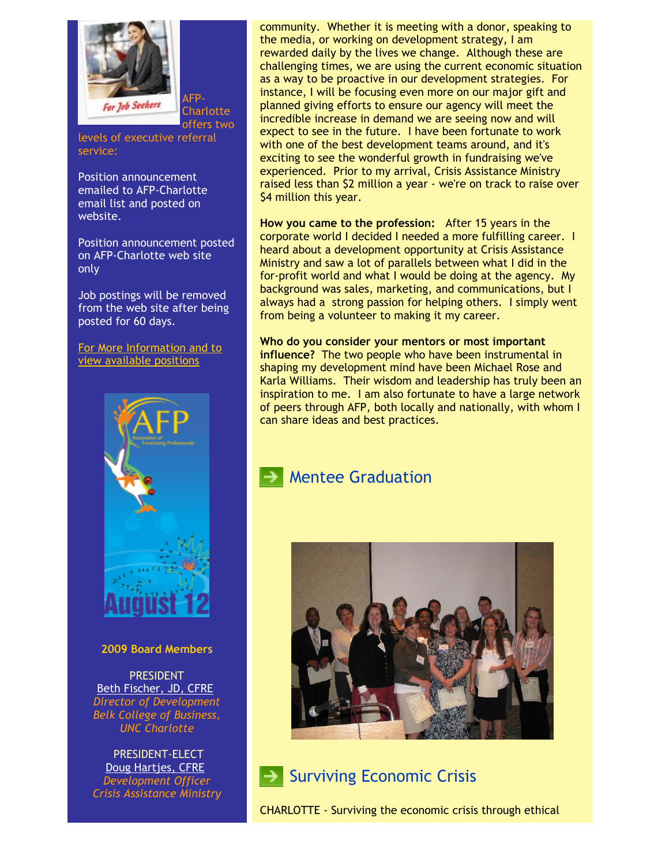

AFP-Charlotte offers two

levels of executive referral service:

Position announcement emailed to AFP-Charlotte email list and posted on website.

Position announcement posted on AFP-Charlotte web site only

Job postings will be removed from the web site after being posted for 60 days.

[For More Information and to](http://www.afp-charlotte.org/executivereferrals.html) view available positions



#### **2009 Board Members**

PRESIDENT [Beth Fischer, JD, CFRE](mailto:beth.fischer@uncc.edu) *Director of Development Belk College of Business, UNC Charlotte*

PRESIDENT-ELECT [Doug Hartjes, CFRE](mailto:dhartjes@crisisassistance.org) *Development Officer Crisis Assistance Ministry* community. Whether it is meeting with a donor, speaking to the media, or working on development strategy, I am rewarded daily by the lives we change. Although these are challenging times, we are using the current economic situation as a way to be proactive in our development strategies. For instance, I will be focusing even more on our major gift and planned giving efforts to ensure our agency will meet the incredible increase in demand we are seeing now and will expect to see in the future. I have been fortunate to work with one of the best development teams around, and it's exciting to see the wonderful growth in fundraising we've experienced. Prior to my arrival, Crisis Assistance Ministry raised less than \$2 million a year - we're on track to raise over \$4 million this year.

**How you came to the profession:** After 15 years in the corporate world I decided I needed a more fulfilling career. I heard about a development opportunity at Crisis Assistance Ministry and saw a lot of parallels between what I did in the for-profit world and what I would be doing at the agency. My background was sales, marketing, and communications, but I always had a strong passion for helping others. I simply went from being a volunteer to making it my career.

**Who do you consider your mentors or most important influence?** The two people who have been instrumental in shaping my development mind have been Michael Rose and Karla Williams. Their wisdom and leadership has truly been an inspiration to me. I am also fortunate to have a large network of peers through AFP, both locally and nationally, with whom I can share ideas and best practices.

#### Mentee Graduation



#### $\blacktriangleright$  Surviving Economic Crisis

CHARLOTTE - Surviving the economic crisis through ethical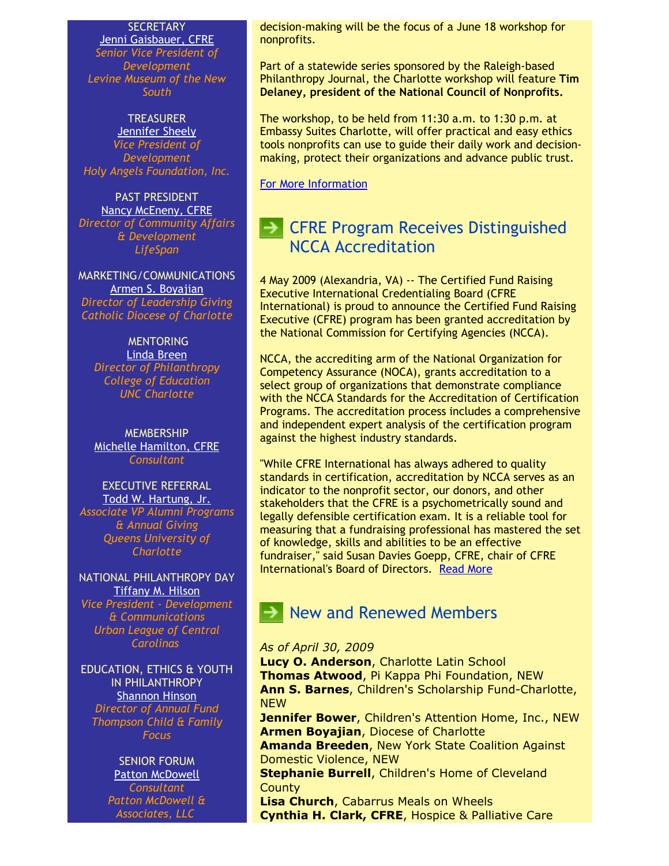**SECRETARY** 

[Jenni Gaisbauer, CFRE](mailto:jgaisbauer@museumofthenewsouth.org) *Senior Vice President of Development Levine Museum of the New South*

#### **TREASURER** [Jennifer Sheely](mailto:jennifers@holyangelsnc.org) *Vice President of Development Holy Angels Foundation, Inc.*

PAST PRESIDENT [Nancy McEneny, CFRE](mailto:nmceneny@lifespanservices.org) *Director of Community Affairs & Development LifeSpan*

MARKETING/COMMUNICATIONS [Armen S. Boyajian](mailto:asboyajian@charlottediocese.org) *Director of Leadership Giving Catholic Diocese of Charlotte*

#### **MENTORING**

[Linda Breen](mailto:lbreen@uncc.edu) *Director of Philanthropy College of Education UNC Charlotte*

**MEMBERSHIP** [Michelle Hamilton, CFRE](mailto:michelle@michellehamiltononline.com) *Consultant*

EXECUTIVE REFERRAL [Todd W. Hartung, Jr.](mailto:Hartungt@queens.edu) *Associate VP Alumni Programs & Annual Giving Queens University of Charlotte*

NATIONAL PHILANTHROPY DAY [Tiffany M. Hilson](mailto:thilson@urbanleaguecc.org) *Vice President - Development & Communications Urban League of Central Carolinas*

EDUCATION, ETHICS & YOUTH IN PHILANTHROPY [Shannon Hinson](mailto:shinson@thompsoncff.org) *Director of Annual Fund Thompson Child & Family Focus*

## SENIOR FORUM

[Patton McDowell](mailto:PM@pattonmcdowell.com) *Consultant Patton McDowell & Associates, LLC* 

decision-making will be the focus of a June 18 workshop for nonprofits.

Part of a statewide series sponsored by the Raleigh-based Philanthropy Journal, the Charlotte workshop will feature **Tim Delaney, president of the National Council of Nonprofits.**

The workshop, to be held from 11:30 a.m. to 1:30 p.m. at Embassy Suites Charlotte, will offer practical and easy ethics tools nonprofits can use to guide their daily work and decisionmaking, protect their organizations and advance public trust.

[For More Information](https://www.philanthropyjournal.org/civicrm/event/info?reset=1&id=40)

## $\blacktriangleright$  CFRE Program Receives Distinguished NCCA Accreditation

4 May 2009 (Alexandria, VA) -- The Certified Fund Raising Executive International Credentialing Board (CFRE International) is proud to announce the Certified Fund Raising Executive (CFRE) program has been granted accreditation by the National Commission for Certifying Agencies (NCCA).

NCCA, the accrediting arm of the National Organization for Competency Assurance (NOCA), grants accreditation to a select group of organizations that demonstrate compliance with the NCCA Standards for the Accreditation of Certification Programs. The accreditation process includes a comprehensive and independent expert analysis of the certification program against the highest industry standards.

"While CFRE International has always adhered to quality standards in certification, accreditation by NCCA serves as an indicator to the nonprofit sector, our donors, and other stakeholders that the CFRE is a psychometrically sound and legally defensible certification exam. It is a reliable tool for measuring that a fundraising professional has mastered the set of knowledge, skills and abilities to be an effective fundraiser," said Susan Davies Goepp, CFRE, chair of CFRE International's Board of Directors. [Read More](http://www.afp-charlotte.org/customers/102012921065393/filemanager/CFRE_NCCA_Accreditation.doc)

## New and Renewed Members

#### *As of April 30, 2009*

**Lucy O. Anderson**, Charlotte Latin School **Thomas Atwood**, Pi Kappa Phi Foundation, NEW **Ann S. Barnes**, Children's Scholarship Fund-Charlotte, **NEW** 

**Jennifer Bower**, Children's Attention Home, Inc., NEW **Armen Boyajian**, Diocese of Charlotte

**Amanda Breeden**, New York State Coalition Against Domestic Violence, NEW

**Stephanie Burrell**, Children's Home of Cleveland **County** 

**Lisa Church**, Cabarrus Meals on Wheels **Cynthia H. Clark, CFRE**, Hospice & Palliative Care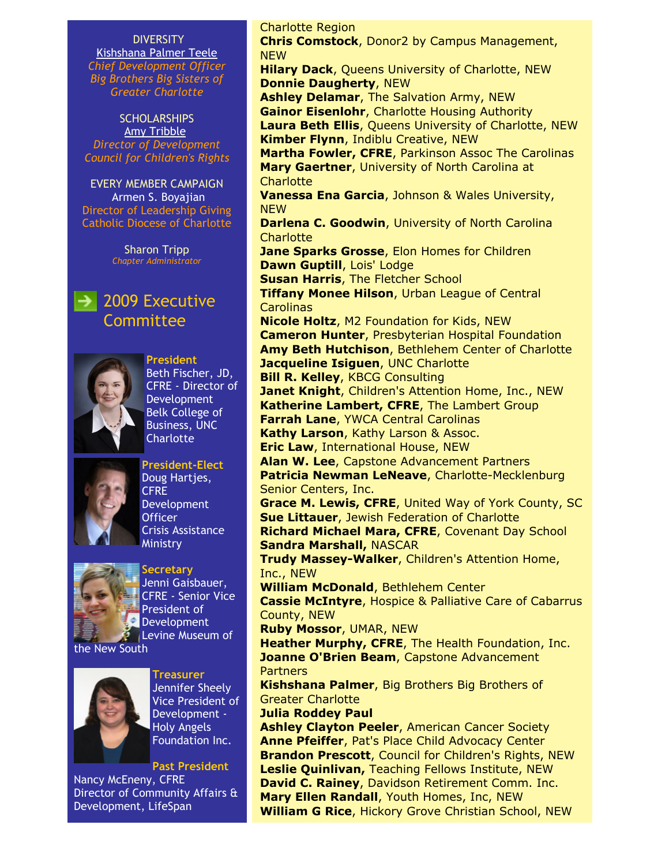DIVERSITY [Kishshana Palmer Teele](mailto:kishshana.teele@gmail.com) *Chief Development Officer Big Brothers Big Sisters of Greater Charlotte*

SCHOLARSHIPS [Amy Tribble](mailto:amy@cfcrights.org) *Director of Development Council for Children's Rights*

EVERY MEMBER CAMPAIGN Armen S. Boyajian Director of Leadership Giving Catholic Diocese of Charlotte

> Sharon Tripp *Chapter Administrator*

### $\rightarrow$  2009 Executive Committee



**President** Beth Fischer, JD, CFRE - Director of Development Belk College of Business, UNC **Charlotte** 



**President-Elect** Doug Hartjes, CFRE Development **Officer** Crisis Assistance **Ministry** 



**Secretary** Jenni Gaisbauer, CFRE - Senior Vice President of Development **Levine Museum of** 





**Treasurer** Jennifer Sheely Vice President of Development - Holy Angels Foundation Inc.

**Past President** Nancy McEneny, CFRE Director of Community Affairs & Development, LifeSpan

Charlotte Region **Chris Comstock**, Donor2 by Campus Management, NEW **Hilary Dack**, Queens University of Charlotte, NEW **Donnie Daugherty**, NEW **Ashley Delamar**, The Salvation Army, NEW **Gainor Eisenlohr**, Charlotte Housing Authority **Laura Beth Ellis**, Queens University of Charlotte, NEW **Kimber Flynn**, Indiblu Creative, NEW **Martha Fowler, CFRE**, Parkinson Assoc The Carolinas **Mary Gaertner**, University of North Carolina at **Charlotte Vanessa Ena Garcia**, Johnson & Wales University, **NEW Darlena C. Goodwin**, University of North Carolina **Charlotte Jane Sparks Grosse**, Elon Homes for Children **Dawn Guptill**, Lois' Lodge **Susan Harris**, The Fletcher School **Tiffany Monee Hilson**, Urban League of Central **Carolinas Nicole Holtz**, M2 Foundation for Kids, NEW **Cameron Hunter**, Presbyterian Hospital Foundation **Amy Beth Hutchison**, Bethlehem Center of Charlotte **Jacqueline Isiguen**, UNC Charlotte **Bill R. Kelley**, KBCG Consulting **Janet Knight**, Children's Attention Home, Inc., NEW **Katherine Lambert, CFRE**, The Lambert Group **Farrah Lane**, YWCA Central Carolinas **Kathy Larson**, Kathy Larson & Assoc. **Eric Law**, International House, NEW **Alan W. Lee**, Capstone Advancement Partners **Patricia Newman LeNeave**, Charlotte-Mecklenburg Senior Centers, Inc. **Grace M. Lewis, CFRE**, United Way of York County, SC **Sue Littauer**, Jewish Federation of Charlotte **Richard Michael Mara, CFRE**, Covenant Day School **Sandra Marshall,** NASCAR **Trudy Massey-Walker**, Children's Attention Home, Inc., NEW **William McDonald**, Bethlehem Center **Cassie McIntyre**, Hospice & Palliative Care of Cabarrus County, NEW **Ruby Mossor**, UMAR, NEW **Heather Murphy, CFRE**, The Health Foundation, Inc. **Joanne O'Brien Beam, Capstone Advancement** Partners **Kishshana Palmer**, Big Brothers Big Brothers of Greater Charlotte **Julia Roddey Paul Ashley Clayton Peeler**, American Cancer Society **Anne Pfeiffer**, Pat's Place Child Advocacy Center **Brandon Prescott**, Council for Children's Rights, NEW **Leslie Quinlivan,** Teaching Fellows Institute, NEW **David C. Rainey**, Davidson Retirement Comm. Inc. **Mary Ellen Randall**, Youth Homes, Inc, NEW

**William G Rice**, Hickory Grove Christian School, NEW